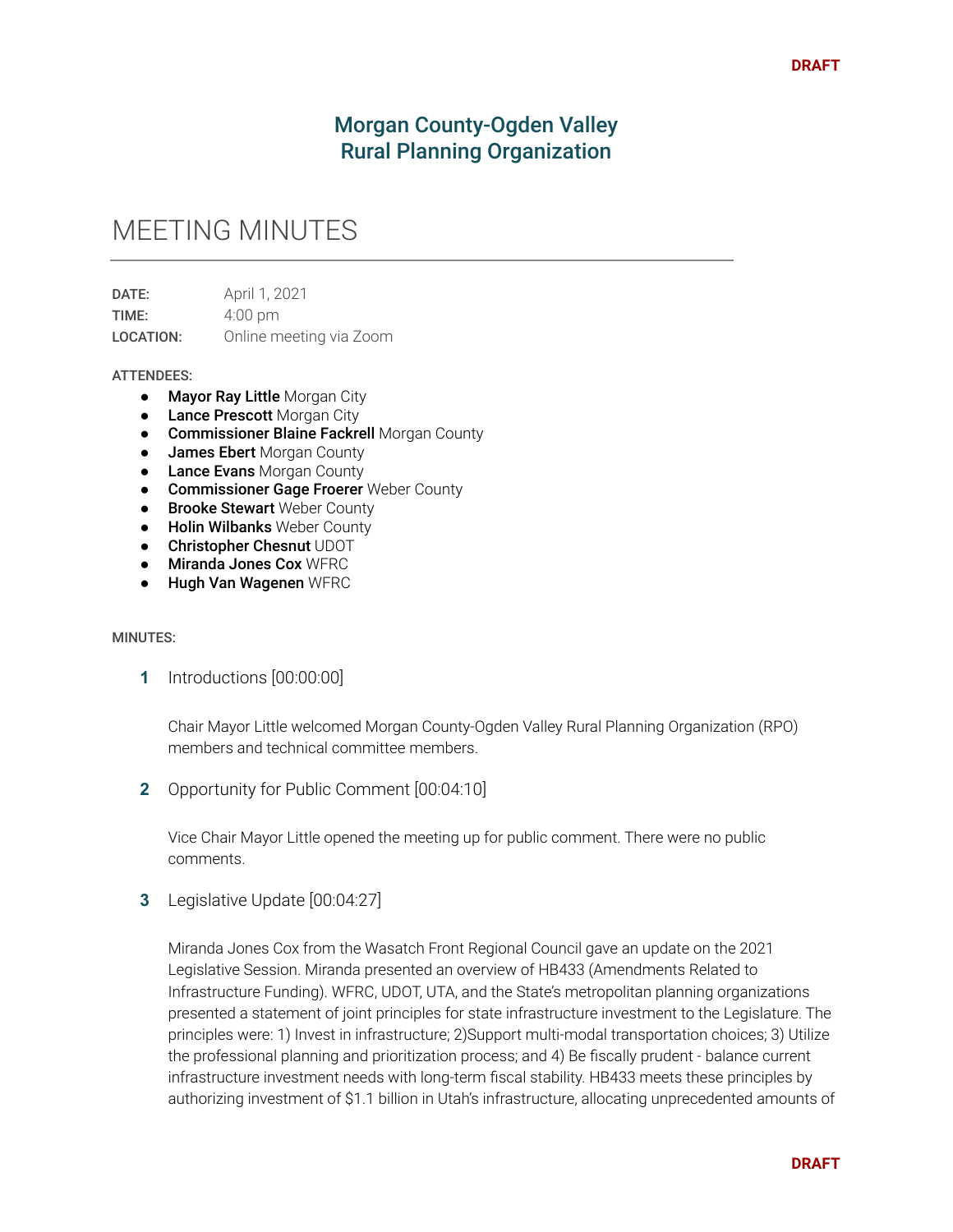# Morgan County-Ogden Valley Rural Planning Organization

# MEETING MINUTES

**DATE:** April 1, 2021 TIME: 4:00 pm LOCATION: Online meeting via Zoom

#### ATTENDEES:

- **Mayor Ray Little Morgan City**
- **Lance Prescott Morgan City**
- Commissioner Blaine Fackrell Morgan County
- James Ebert Morgan County
- Lance Evans Morgan County
- Commissioner Gage Froerer Weber County
- **Brooke Stewart** Weber County
- Holin Wilbanks Weber County
- **Christopher Chesnut UDOT**
- Miranda Jones Cox WERC
- Hugh Van Wagenen WFRC

#### MINUTES:

**1** Introductions [00:00:00]

Chair Mayor Little welcomed Morgan County-Ogden Valley Rural Planning Organization (RPO) members and technical committee members.

**2** Opportunity for Public Comment [00:04:10]

Vice Chair Mayor Little opened the meeting up for public comment. There were no public comments.

**3** Legislative Update [00:04:27]

Miranda Jones Cox from the Wasatch Front Regional Council gave an update on the 2021 Legislative Session. Miranda presented an overview of HB433 (Amendments Related to Infrastructure Funding). WFRC, UDOT, UTA, and the State's metropolitan planning organizations presented a statement of joint principles for state infrastructure investment to the Legislature. The principles were: 1) Invest in infrastructure; 2)Support multi-modal transportation choices; 3) Utilize the professional planning and prioritization process; and 4) Be fiscally prudent - balance current infrastructure investment needs with long-term fiscal stability. HB433 meets these principles by authorizing investment of \$1.1 billion in Utah's infrastructure, allocating unprecedented amounts of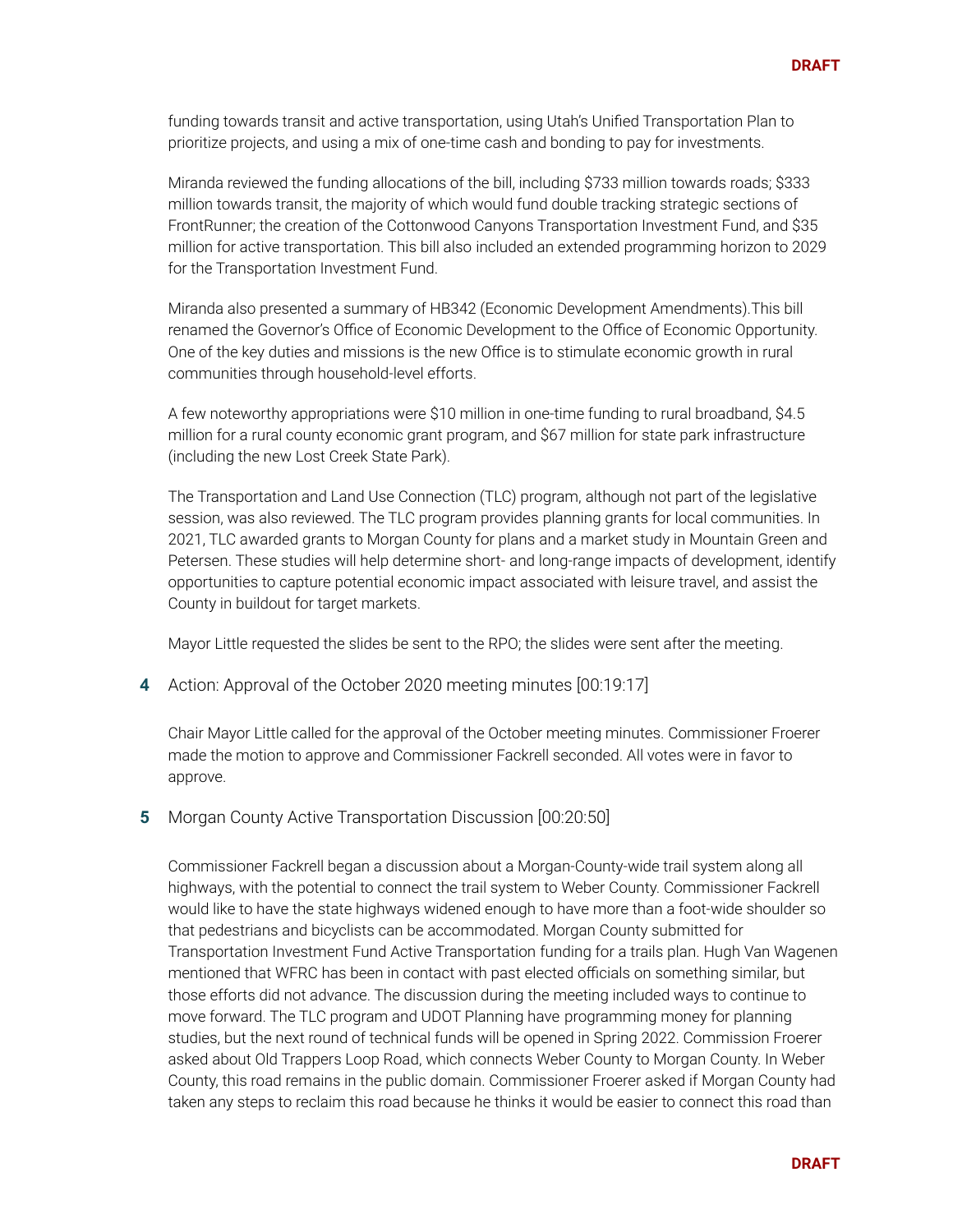funding towards transit and active transportation, using Utah's Unified Transportation Plan to prioritize projects, and using a mix of one-time cash and bonding to pay for investments.

Miranda reviewed the funding allocations of the bill, including \$733 million towards roads; \$333 million towards transit, the majority of which would fund double tracking strategic sections of FrontRunner; the creation of the Cottonwood Canyons Transportation Investment Fund, and \$35 million for active transportation. This bill also included an extended programming horizon to 2029 for the Transportation Investment Fund.

Miranda also presented a summary of HB342 (Economic Development Amendments).This bill renamed the Governor's Office of Economic Development to the Office of Economic Opportunity. One of the key duties and missions is the new Office is to stimulate economic growth in rural communities through household-level efforts.

A few noteworthy appropriations were \$10 million in one-time funding to rural broadband, \$4.5 million for a rural county economic grant program, and \$67 million for state park infrastructure (including the new Lost Creek State Park).

The Transportation and Land Use Connection (TLC) program, although not part of the legislative session, was also reviewed. The TLC program provides planning grants for local communities. In 2021, TLC awarded grants to Morgan County for plans and a market study in Mountain Green and Petersen. These studies will help determine short- and long-range impacts of development, identify opportunities to capture potential economic impact associated with leisure travel, and assist the County in buildout for target markets.

Mayor Little requested the slides be sent to the RPO; the slides were sent after the meeting.

**4** Action: Approval of the October 2020 meeting minutes [00:19:17]

Chair Mayor Little called for the approval of the October meeting minutes. Commissioner Froerer made the motion to approve and Commissioner Fackrell seconded. All votes were in favor to approve.

**5** Morgan County Active Transportation Discussion [00:20:50]

Commissioner Fackrell began a discussion about a Morgan-County-wide trail system along all highways, with the potential to connect the trail system to Weber County. Commissioner Fackrell would like to have the state highways widened enough to have more than a foot-wide shoulder so that pedestrians and bicyclists can be accommodated. Morgan County submitted for Transportation Investment Fund Active Transportation funding for a trails plan. Hugh Van Wagenen mentioned that WFRC has been in contact with past elected officials on something similar, but those efforts did not advance. The discussion during the meeting included ways to continue to move forward. The TLC program and UDOT Planning have programming money for planning studies, but the next round of technical funds will be opened in Spring 2022. Commission Froerer asked about Old Trappers Loop Road, which connects Weber County to Morgan County. In Weber County, this road remains in the public domain. Commissioner Froerer asked if Morgan County had taken any steps to reclaim this road because he thinks it would be easier to connect this road than